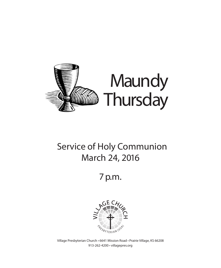

## Service of Holy Communion March 24, 2016

7 p.m.



Village Presbyterian Church • 6641 Mission Road • Prairie Village, KS 66208 913-262-4200 • villagepres.org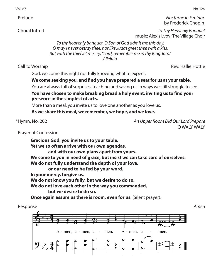Vol. 67 No. 12a

 Prelude *Nocturne in F minor* by Frederick Chopin

 Choral Introit *To Thy Heavenly Banquet*  music: Alexis Lvov; The Village Choir

> *To thy heavenly banquet, O Son of God admit me this day. O may I never betray thee, nor like Judas greet thee with a kiss, But with the thief let me cry, "Lord, remember me in thy Kingdom." Alleluia.*

Call to Worship **Call to Worship** Rev. Hallie Hottle

God, we come this night not fully knowing what to expect.

## **We come seeking you, and find you have prepared a seat for us at your table.**

You are always full of surprises, teaching and saving us in ways we still struggle to see.

You have chosen to make breaking bread a holy event, inviting us to find your **presence in the simplest of acts.**

More than a meal, you invite us to love one another as you love us.

were than a meal, you have as to love one anomer as you love.<br>As we share this meal, we remember, we hope, and we love.

\*Hymn, No. 202

\*Hymn, No. 202 *An Upper Room Did Our Lord Prepare* Christ Has Died; Christ Is Risen O WALY WALY Œ

 Prayer of Confession & b b essi<br>essi .<br>si  $\mathsf{a}$ 

of Confession<br>Gracious God, you invite us to your table. Yet we so often arrive with our own agendas, and with our own plans apart from yours.<br>a to you in need of wase, but insist we say and with our own plans apart from yours.<br>We come to you in need of grace, but insist we can take care of ourselves.<br>**We detail the conditional condition** we come to you in need or grace, but insist we can t<br>We do not fully understand the depth of your love, **or our need to be fed by your word.** In your mercy, forgive us. We do not know you fully, but we desire to do so. **We do not love each other in the way you commanded, but we desire to do so.**  ˙ ہ<br>n œ ˙ ّا0<br>ہو، <sup>of</sup> ˙ ∶rrom yours.<br>insist we can take<br>∙ of your love ˙ œ e of ourselve .

**Once again assure us there is room, even for us**. (Silent prayer).<br>nse Response *Amen*  $\Phi$ <u>.</u> b b b b b b  $\frac{3}{4}$ <u>ភូ</u>  $\frac{3}{4}$ <u>ភូ</u> ˙  $\overline{\mathscr{E}}$   $\overline{\mathscr{E}}$ œ A - men, a - men, a - men. A - men, a - $\overline{c}$  $\frac{2}{5}$ œ œ  $\overline{s}$  $\mathcal{E}$ œ œ  $\overline{e}$  $\overline{\bullet}$ œ e<br>C .  $\frac{1}{2}$  $\mathcal{S}$ . . ˙ ˙  $\overline{\phantom{0}}$  $\overline{\mathcal{S}}$  $\overline{\boldsymbol{\mathcal{E}}}$ men.  $\overline{c}$  $\overrightarrow{c}$ **e** e  $A$  - men.  $^{\circ}$   $^{\circ}$  $\overline{e}$  $\overline{\bullet}$ œ œ  $\overline{g.}$ a ˙.  $\int$ ˙. .  $\overline{\mathbf{e}}$ :  $\frac{1}{\sigma}$ men. .  $\frac{2}{3}$  $\boldsymbol{\beta}$ ˙  $\mathcal{O}$  $\overline{8}$  $\overline{\mathscr{E}}$ 

 $\overline{\boldsymbol{\mathcal{E}}}$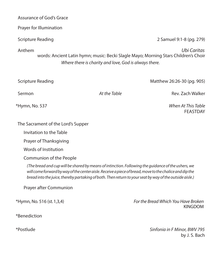Prayer for Illumination Scripture Reading 2 Samuel 9:1-8 (pg. 279) Anthem *Ubi Caritas* words: Ancient Latin hymn; music: Becki Slagle Mayo; Morning Stars Children's Choir *Where there is charity and love, God is always there.* Scripture Reading Matthew 26:26-30 (pg. 905) Sermon *At the Table* Rev. Zach Walker

\*Hymn, No. 537 *When At This Table* FEASTDAY

The Sacrament of the Lord's Supper

Invitation to the Table

Prayer of Thanksgiving

Words of Institution

Communion of the People

*(The bread and cup will be shared by means of intinction. Following the guidance of the ushers, we will come forward by way of the center aisle. Receive a piece of bread, move to the chalice and dip the bread into the juice, thereby partaking of both. Then return to your seat by way of the outside aisle.)*

Prayer after Communion

\*Hymn, No. 516 (st. 1,3,4) *For the Bread Which You Have Broken* 

\*Benediction

\*Postlude *Sinfonia in F Minor, BWV 795*  by J. S. Bach

KINGDOM

Assurance of God's Grace